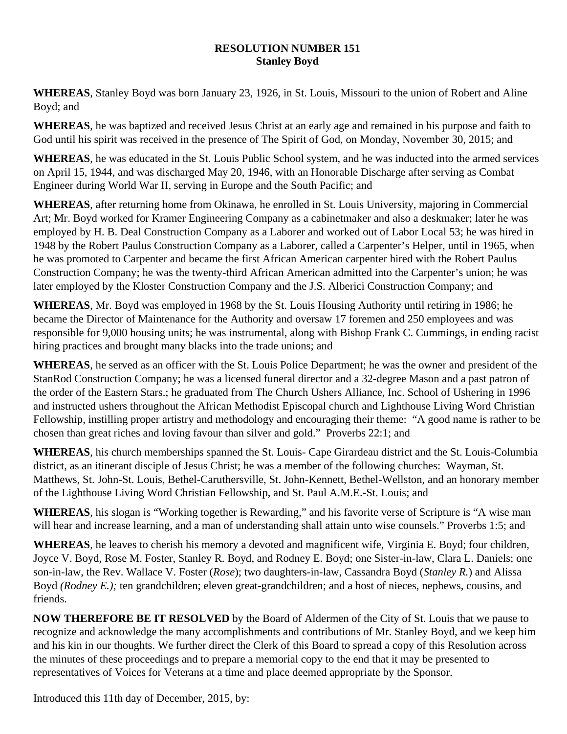## **RESOLUTION NUMBER 151 Stanley Boyd**

**WHEREAS**, Stanley Boyd was born January 23, 1926, in St. Louis, Missouri to the union of Robert and Aline Boyd; and

**WHEREAS**, he was baptized and received Jesus Christ at an early age and remained in his purpose and faith to God until his spirit was received in the presence of The Spirit of God, on Monday, November 30, 2015; and

**WHEREAS**, he was educated in the St. Louis Public School system, and he was inducted into the armed services on April 15, 1944, and was discharged May 20, 1946, with an Honorable Discharge after serving as Combat Engineer during World War II, serving in Europe and the South Pacific; and

**WHEREAS**, after returning home from Okinawa, he enrolled in St. Louis University, majoring in Commercial Art; Mr. Boyd worked for Kramer Engineering Company as a cabinetmaker and also a deskmaker; later he was employed by H. B. Deal Construction Company as a Laborer and worked out of Labor Local 53; he was hired in 1948 by the Robert Paulus Construction Company as a Laborer, called a Carpenter's Helper, until in 1965, when he was promoted to Carpenter and became the first African American carpenter hired with the Robert Paulus Construction Company; he was the twenty-third African American admitted into the Carpenter's union; he was later employed by the Kloster Construction Company and the J.S. Alberici Construction Company; and

**WHEREAS**, Mr. Boyd was employed in 1968 by the St. Louis Housing Authority until retiring in 1986; he became the Director of Maintenance for the Authority and oversaw 17 foremen and 250 employees and was responsible for 9,000 housing units; he was instrumental, along with Bishop Frank C. Cummings, in ending racist hiring practices and brought many blacks into the trade unions; and

**WHEREAS**, he served as an officer with the St. Louis Police Department; he was the owner and president of the StanRod Construction Company; he was a licensed funeral director and a 32-degree Mason and a past patron of the order of the Eastern Stars.; he graduated from The Church Ushers Alliance, Inc. School of Ushering in 1996 and instructed ushers throughout the African Methodist Episcopal church and Lighthouse Living Word Christian Fellowship, instilling proper artistry and methodology and encouraging their theme: "A good name is rather to be chosen than great riches and loving favour than silver and gold." Proverbs 22:1; and

**WHEREAS**, his church memberships spanned the St. Louis- Cape Girardeau district and the St. Louis-Columbia district, as an itinerant disciple of Jesus Christ; he was a member of the following churches: Wayman, St. Matthews, St. John-St. Louis, Bethel-Caruthersville, St. John-Kennett, Bethel-Wellston, and an honorary member of the Lighthouse Living Word Christian Fellowship, and St. Paul A.M.E.-St. Louis; and

**WHEREAS**, his slogan is "Working together is Rewarding," and his favorite verse of Scripture is "A wise man will hear and increase learning, and a man of understanding shall attain unto wise counsels." Proverbs 1:5; and

**WHEREAS**, he leaves to cherish his memory a devoted and magnificent wife, Virginia E. Boyd; four children, Joyce V. Boyd, Rose M. Foster, Stanley R. Boyd, and Rodney E. Boyd; one Sister-in-law, Clara L. Daniels; one son-in-law, the Rev. Wallace V. Foster (*Rose*); two daughters-in-law, Cassandra Boyd (*Stanley R.*) and Alissa Boyd *(Rodney E.);* ten grandchildren; eleven great-grandchildren; and a host of nieces, nephews, cousins, and friends.

**NOW THEREFORE BE IT RESOLVED** by the Board of Aldermen of the City of St. Louis that we pause to recognize and acknowledge the many accomplishments and contributions of Mr. Stanley Boyd, and we keep him and his kin in our thoughts. We further direct the Clerk of this Board to spread a copy of this Resolution across the minutes of these proceedings and to prepare a memorial copy to the end that it may be presented to representatives of Voices for Veterans at a time and place deemed appropriate by the Sponsor.

Introduced this 11th day of December, 2015, by: